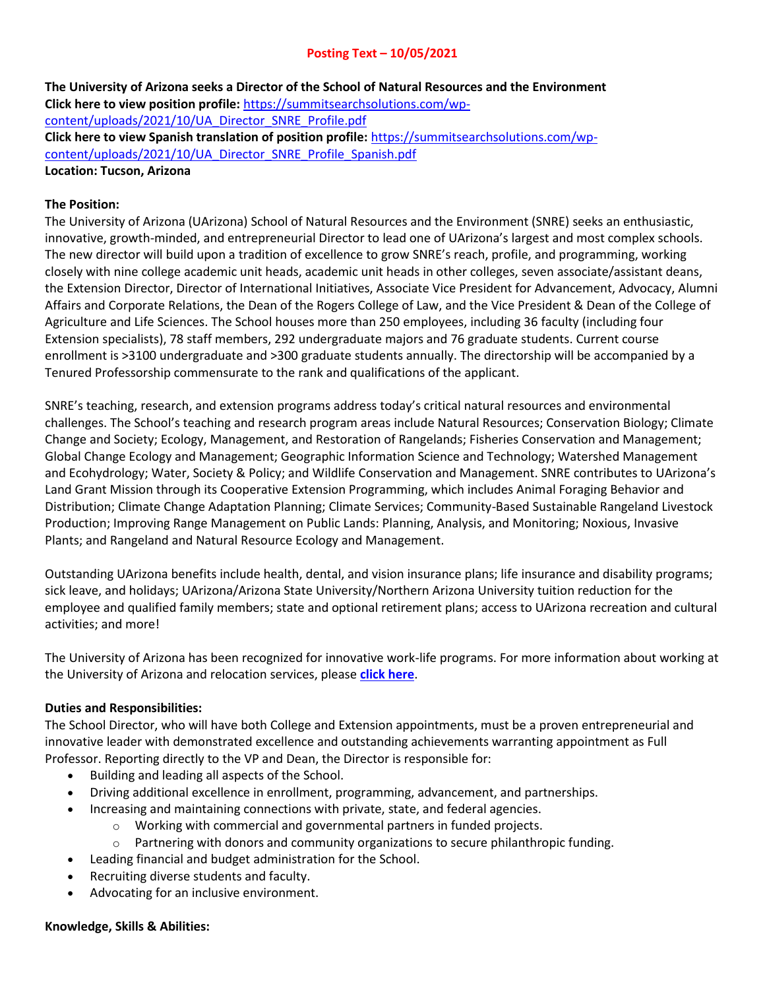# **Posting Text – 10/05/2021**

**The University of Arizona seeks a Director of the School of Natural Resources and the Environment Click here to view position profile:** [https://summitsearchsolutions.com/wp](https://summitsearchsolutions.com/wp-content/uploads/2021/10/UA_Director_SNRE_Profile.pdf)[content/uploads/2021/10/UA\\_Director\\_SNRE\\_Profile.pdf](https://summitsearchsolutions.com/wp-content/uploads/2021/10/UA_Director_SNRE_Profile.pdf) **Click here to view Spanish translation of position profile:** [https://summitsearchsolutions.com/wp](https://summitsearchsolutions.com/wp-content/uploads/2021/10/UA_Director_SNRE_Profile_Spanish.pdf)[content/uploads/2021/10/UA\\_Director\\_SNRE\\_Profile\\_Spanish.pdf](https://summitsearchsolutions.com/wp-content/uploads/2021/10/UA_Director_SNRE_Profile_Spanish.pdf) **Location: Tucson, Arizona**

#### **The Position:**

The University of Arizona (UArizona) School of Natural Resources and the Environment (SNRE) seeks an enthusiastic, innovative, growth-minded, and entrepreneurial Director to lead one of UArizona's largest and most complex schools. The new director will build upon a tradition of excellence to grow SNRE's reach, profile, and programming, working closely with nine college academic unit heads, academic unit heads in other colleges, seven associate/assistant deans, the Extension Director, Director of International Initiatives, Associate Vice President for Advancement, Advocacy, Alumni Affairs and Corporate Relations, the Dean of the Rogers College of Law, and the Vice President & Dean of the College of Agriculture and Life Sciences. The School houses more than 250 employees, including 36 faculty (including four Extension specialists), 78 staff members, 292 undergraduate majors and 76 graduate students. Current course enrollment is >3100 undergraduate and >300 graduate students annually. The directorship will be accompanied by a Tenured Professorship commensurate to the rank and qualifications of the applicant.

SNRE's teaching, research, and extension programs address today's critical natural resources and environmental challenges. The School's teaching and research program areas include Natural Resources; Conservation Biology; Climate Change and Society; Ecology, Management, and Restoration of Rangelands; Fisheries Conservation and Management; Global Change Ecology and Management; Geographic Information Science and Technology; Watershed Management and Ecohydrology; Water, Society & Policy; and Wildlife Conservation and Management. SNRE contributes to UArizona's Land Grant Mission through its Cooperative Extension Programming, which includes Animal Foraging Behavior and Distribution; Climate Change Adaptation Planning; Climate Services; Community-Based Sustainable Rangeland Livestock Production; Improving Range Management on Public Lands: Planning, Analysis, and Monitoring; Noxious, Invasive Plants; and Rangeland and Natural Resource Ecology and Management.

Outstanding UArizona benefits include health, dental, and vision insurance plans; life insurance and disability programs; sick leave, and holidays; UArizona/Arizona State University/Northern Arizona University tuition reduction for the employee and qualified family members; state and optional retirement plans; access to UArizona recreation and cultural activities; and more!

The University of Arizona has been recognized for innovative work-life programs. For more information about working at the University of Arizona and relocation services, please **[click here](http://talent.arizona.edu/)**.

#### **Duties and Responsibilities:**

The School Director, who will have both College and Extension appointments, must be a proven entrepreneurial and innovative leader with demonstrated excellence and outstanding achievements warranting appointment as Full Professor. Reporting directly to the VP and Dean, the Director is responsible for:

- Building and leading all aspects of the School.
- Driving additional excellence in enrollment, programming, advancement, and partnerships.
- Increasing and maintaining connections with private, state, and federal agencies.
	- o Working with commercial and governmental partners in funded projects.
	- $\circ$  Partnering with donors and community organizations to secure philanthropic funding.
- Leading financial and budget administration for the School.
- Recruiting diverse students and faculty.
- Advocating for an inclusive environment.

#### **Knowledge, Skills & Abilities:**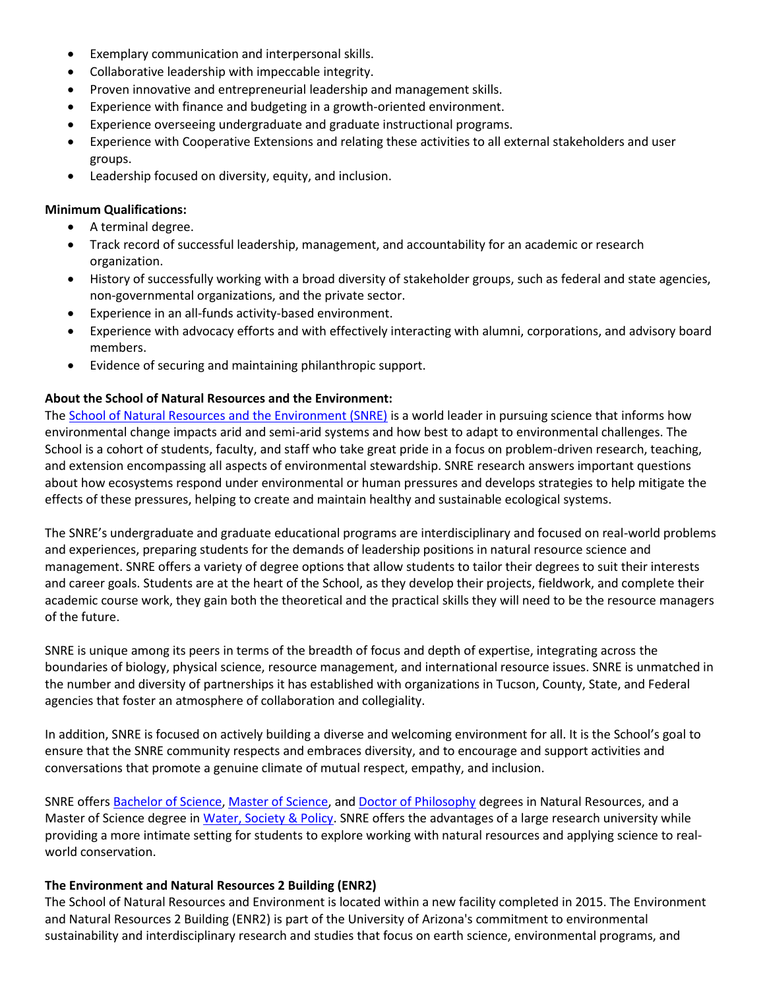- Exemplary communication and interpersonal skills.
- Collaborative leadership with impeccable integrity.
- Proven innovative and entrepreneurial leadership and management skills.
- Experience with finance and budgeting in a growth-oriented environment.
- Experience overseeing undergraduate and graduate instructional programs.
- Experience with Cooperative Extensions and relating these activities to all external stakeholders and user groups.
- Leadership focused on diversity, equity, and inclusion.

### **Minimum Qualifications:**

- A terminal degree.
- Track record of successful leadership, management, and accountability for an academic or research organization.
- History of successfully working with a broad diversity of stakeholder groups, such as federal and state agencies, non-governmental organizations, and the private sector.
- Experience in an all-funds activity-based environment.
- Experience with advocacy efforts and with effectively interacting with alumni, corporations, and advisory board members.
- Evidence of securing and maintaining philanthropic support.

### **About the School of Natural Resources and the Environment:**

The [School of Natural Resources and the Environment](https://snre.arizona.edu/about-us) (SNRE) is a world leader in pursuing science that informs how environmental change impacts arid and semi-arid systems and how best to adapt to environmental challenges. The School is a cohort of students, faculty, and staff who take great pride in a focus on problem-driven research, teaching, and extension encompassing all aspects of environmental stewardship. SNRE research answers important questions about how ecosystems respond under environmental or human pressures and develops strategies to help mitigate the effects of these pressures, helping to create and maintain healthy and sustainable ecological systems.

The SNRE's undergraduate and graduate educational programs are interdisciplinary and focused on real-world problems and experiences, preparing students for the demands of leadership positions in natural resource science and management. SNRE offers a variety of degree options that allow students to tailor their degrees to suit their interests and career goals. Students are at the heart of the School, as they develop their projects, fieldwork, and complete their academic course work, they gain both the theoretical and the practical skills they will need to be the resource managers of the future.

SNRE is unique among its peers in terms of the breadth of focus and depth of expertise, integrating across the boundaries of biology, physical science, resource management, and international resource issues. SNRE is unmatched in the number and diversity of partnerships it has established with organizations in Tucson, County, State, and Federal agencies that foster an atmosphere of collaboration and collegiality.

In addition, SNRE is focused on actively building a diverse and welcoming environment for all. It is the School's goal to ensure that the SNRE community respects and embraces diversity, and to encourage and support activities and conversations that promote a genuine climate of mutual respect, empathy, and inclusion.

SNRE offer[s Bachelor of Science,](http://snre.arizona.edu/academics/prospective-students/undergraduate-degrees) [Master of Science,](http://snre.arizona.edu/academics/prospective-students/graduate-degrees) and [Doctor of Philosophy](http://snre.arizona.edu/academics/prospective-students/graduate-degrees) degrees in Natural Resources, and a Master of Science degree i[n Water, Society & Policy.](https://snre.arizona.edu/academics/current-students/ms-water-society-and-policy) SNRE offers the advantages of a large research university while providing a more intimate setting for students to explore working with natural resources and applying science to realworld conservation.

### **The Environment and Natural Resources 2 Building (ENR2)**

The School of Natural Resources and Environment is located within a new facility completed in 2015. The Environment and Natural Resources 2 Building (ENR2) is part of the University of Arizona's commitment to environmental sustainability and interdisciplinary research and studies that focus on earth science, environmental programs, and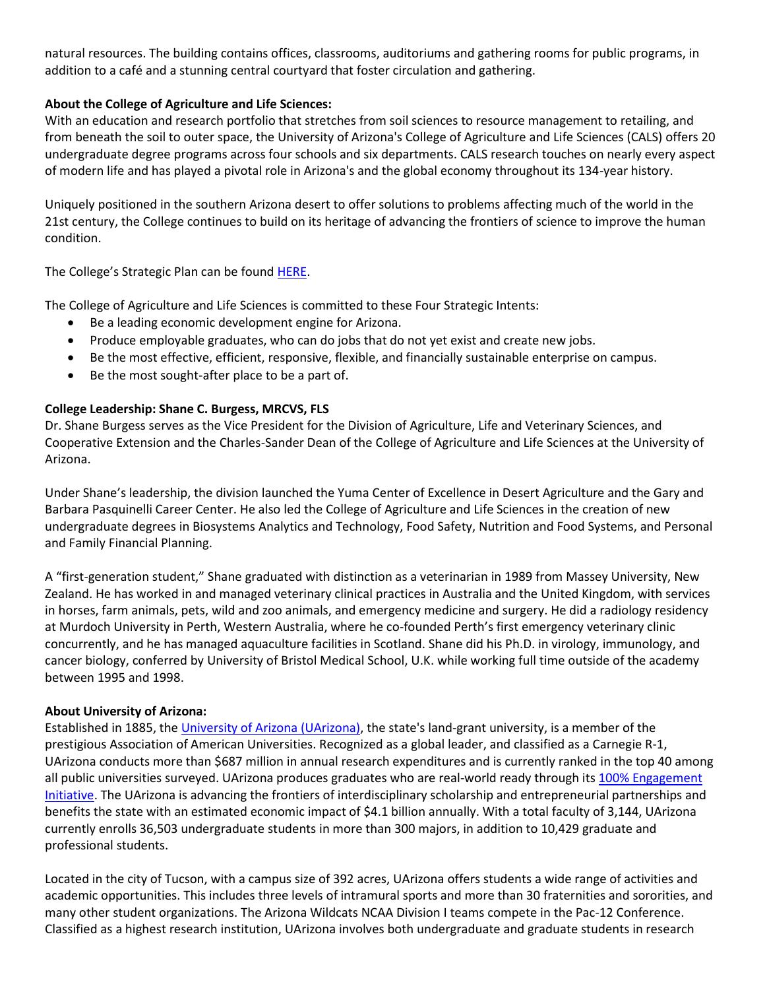natural resources. The building contains offices, classrooms, auditoriums and gathering rooms for public programs, in addition to a café and a stunning central courtyard that foster circulation and gathering.

## **About the College of Agriculture and Life Sciences:**

With an education and research portfolio that stretches from soil sciences to resource management to retailing, and from beneath the soil to outer space, the University of Arizona's College of Agriculture and Life Sciences (CALS) offers 20 undergraduate degree programs across four schools and six departments. CALS research touches on nearly every aspect of modern life and has played a pivotal role in Arizona's and the global economy throughout its 134-year history.

Uniquely positioned in the southern Arizona desert to offer solutions to problems affecting much of the world in the 21st century, the College continues to build on its heritage of advancing the frontiers of science to improve the human condition.

The College's Strategic Plan can be found **HERE**.

The College of Agriculture and Life Sciences is committed to these Four Strategic Intents:

- Be a leading economic development engine for Arizona.
- Produce employable graduates, who can do jobs that do not yet exist and create new jobs.
- Be the most effective, efficient, responsive, flexible, and financially sustainable enterprise on campus.
- Be the most sought-after place to be a part of.

## **College Leadership: Shane C. Burgess, MRCVS, FLS**

Dr. Shane Burgess serves as the Vice President for the Division of Agriculture, Life and Veterinary Sciences, and Cooperative Extension and the Charles-Sander Dean of the College of Agriculture and Life Sciences at the University of Arizona.

Under Shane's leadership, the division launched the Yuma Center of Excellence in Desert Agriculture and the Gary and Barbara Pasquinelli Career Center. He also led the College of Agriculture and Life Sciences in the creation of new undergraduate degrees in Biosystems Analytics and Technology, Food Safety, Nutrition and Food Systems, and Personal and Family Financial Planning.

A "first-generation student," Shane graduated with distinction as a veterinarian in 1989 from Massey University, New Zealand. He has worked in and managed veterinary clinical practices in Australia and the United Kingdom, with services in horses, farm animals, pets, wild and zoo animals, and emergency medicine and surgery. He did a radiology residency at Murdoch University in Perth, Western Australia, where he co-founded Perth's first emergency veterinary clinic concurrently, and he has managed aquaculture facilities in Scotland. Shane did his Ph.D. in virology, immunology, and cancer biology, conferred by University of Bristol Medical School, U.K. while working full time outside of the academy between 1995 and 1998.

### **About University of Arizona:**

Established in 1885, the [University of Arizona \(UArizona\),](https://www.arizona.edu/) the state's land-grant university, is a member of the prestigious Association of American Universities. Recognized as a global leader, and classified as a Carnegie R-1, UArizona conducts more than \$687 million in annual research expenditures and is currently ranked in the top 40 among all public universities surveyed. UArizona produces graduates who are real-world ready through its [100% Engagement](http://ose.arizona.edu/100-engagement)  [Initiative.](http://ose.arizona.edu/100-engagement) The UArizona is advancing the frontiers of interdisciplinary scholarship and entrepreneurial partnerships and benefits the state with an estimated economic impact of \$4.1 billion annually. With a total faculty of 3,144, UArizona currently enrolls 36,503 undergraduate students in more than 300 majors, in addition to 10,429 graduate and professional students.

Located in the city of Tucson, with a campus size of 392 acres, UArizona offers students a wide range of activities and academic opportunities. This includes three levels of intramural sports and more than 30 fraternities and sororities, and many other student organizations. The Arizona Wildcats NCAA Division I teams compete in the Pac-12 Conference. Classified as a highest research institution, UArizona involves both undergraduate and graduate students in research